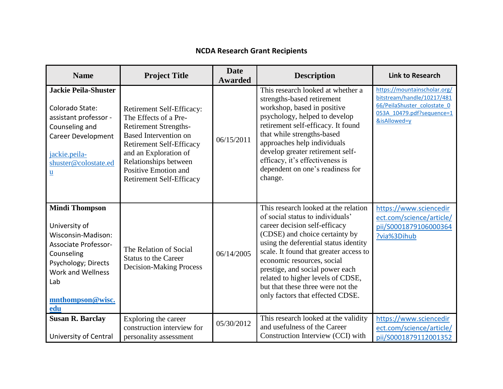| <b>Name</b>                                                                                                                                                                                    | <b>Project Title</b>                                                                                                                                                                                                                                               | <b>Date</b><br><b>Awarded</b> | <b>Description</b>                                                                                                                                                                                                                                                                                                                                                                                            | <b>Link to Research</b>                                                                                                                |
|------------------------------------------------------------------------------------------------------------------------------------------------------------------------------------------------|--------------------------------------------------------------------------------------------------------------------------------------------------------------------------------------------------------------------------------------------------------------------|-------------------------------|---------------------------------------------------------------------------------------------------------------------------------------------------------------------------------------------------------------------------------------------------------------------------------------------------------------------------------------------------------------------------------------------------------------|----------------------------------------------------------------------------------------------------------------------------------------|
| <b>Jackie Peila-Shuster</b><br>Colorado State:<br>assistant professor -<br>Counseling and<br><b>Career Development</b><br>jackie.peila-<br>shuster@colostate.ed<br><u>u</u>                    | Retirement Self-Efficacy:<br>The Effects of a Pre-<br><b>Retirement Strengths-</b><br><b>Based Intervention on</b><br><b>Retirement Self-Efficacy</b><br>and an Exploration of<br>Relationships between<br>Positive Emotion and<br><b>Retirement Self-Efficacy</b> | 06/15/2011                    | This research looked at whether a<br>strengths-based retirement<br>workshop, based in positive<br>psychology, helped to develop<br>retirement self-efficacy. It found<br>that while strengths-based<br>approaches help individuals<br>develop greater retirement self-<br>efficacy, it's effectiveness is<br>dependent on one's readiness for<br>change.                                                      | https://mountainscholar.org/<br>bitstream/handle/10217/481<br>66/PeilaShuster colostate 0<br>053A 10479.pdf?sequence=1<br>&isAllowed=y |
| <b>Mindi Thompson</b><br>University of<br>Wisconsin-Madison:<br><b>Associate Professor-</b><br>Counseling<br>Psychology; Directs<br><b>Work and Wellness</b><br>Lab<br>mnthompson@wisc.<br>edu | The Relation of Social<br><b>Status to the Career</b><br><b>Decision-Making Process</b>                                                                                                                                                                            | 06/14/2005                    | This research looked at the relation<br>of social status to individuals'<br>career decision self-efficacy<br>(CDSE) and choice certainty by<br>using the deferential status identity<br>scale. It found that greater access to<br>economic resources, social<br>prestige, and social power each<br>related to higher levels of CDSE,<br>but that these three were not the<br>only factors that effected CDSE. | https://www.sciencedir<br>ect.com/science/article/<br>pii/S0001879106000364<br>?via%3Dihub                                             |
| <b>Susan R. Barclay</b>                                                                                                                                                                        | Exploring the career<br>construction interview for                                                                                                                                                                                                                 | 05/30/2012                    | This research looked at the validity<br>and usefulness of the Career                                                                                                                                                                                                                                                                                                                                          | https://www.sciencedir<br>ect.com/science/article/                                                                                     |
| University of Central                                                                                                                                                                          | personality assessment                                                                                                                                                                                                                                             |                               | Construction Interview (CCI) with                                                                                                                                                                                                                                                                                                                                                                             | pii/S0001879112001352                                                                                                                  |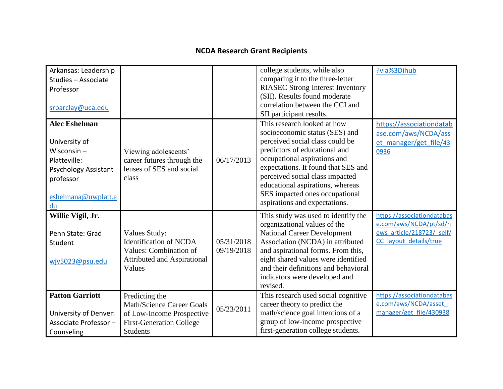| Arkansas: Leadership<br>Studies - Associate<br>Professor<br>srbarclay@uca.edu                                                                   |                                                                                                                                       |                          | college students, while also<br>comparing it to the three-letter<br><b>RIASEC Strong Interest Inventory</b><br>(SII). Results found moderate<br>correlation between the CCI and<br>SII participant results.                                                                                                                                        | ?via%3Dihub                                                                                                 |
|-------------------------------------------------------------------------------------------------------------------------------------------------|---------------------------------------------------------------------------------------------------------------------------------------|--------------------------|----------------------------------------------------------------------------------------------------------------------------------------------------------------------------------------------------------------------------------------------------------------------------------------------------------------------------------------------------|-------------------------------------------------------------------------------------------------------------|
| <b>Alec Eshelman</b><br>University of<br>Wisconsin $-$<br>Platteville:<br><b>Psychology Assistant</b><br>professor<br>eshelmana@uwplatt.e<br>du | Viewing adolescents'<br>career futures through the<br>lenses of SES and social<br>class                                               | 06/17/2013               | This research looked at how<br>socioeconomic status (SES) and<br>perceived social class could be<br>predictors of educational and<br>occupational aspirations and<br>expectations. It found that SES and<br>perceived social class impacted<br>educational aspirations, whereas<br>SES impacted ones occupational<br>aspirations and expectations. | https://associationdatab<br>ase.com/aws/NCDA/ass<br>et manager/get file/43<br>0936                          |
| Willie Vigil, Jr.<br>Penn State: Grad<br>Student<br>wjv5023@psu.edu                                                                             | Values Study:<br><b>Identification of NCDA</b><br>Values: Combination of<br><b>Attributed and Aspirational</b><br>Values              | 05/31/2018<br>09/19/2018 | This study was used to identify the<br>organizational values of the<br><b>National Career Development</b><br>Association (NCDA) in attributed<br>and aspirational forms. From this,<br>eight shared values were identified<br>and their definitions and behavioral<br>indicators were developed and<br>revised.                                    | https://associationdatabas<br>e.com/aws/NCDA/pt/sd/n<br>ews article/218723/ self/<br>CC layout details/true |
| <b>Patton Garriott</b><br>University of Denver:<br>Associate Professor-<br>Counseling                                                           | Predicting the<br><b>Math/Science Career Goals</b><br>of Low-Income Prospective<br><b>First-Generation College</b><br><b>Students</b> | 05/23/2011               | This research used social cognitive<br>career theory to predict the<br>math/science goal intentions of a<br>group of low-income prospective<br>first-generation college students.                                                                                                                                                                  | https://associationdatabas<br>e.com/aws/NCDA/asset<br>manager/get file/430938                               |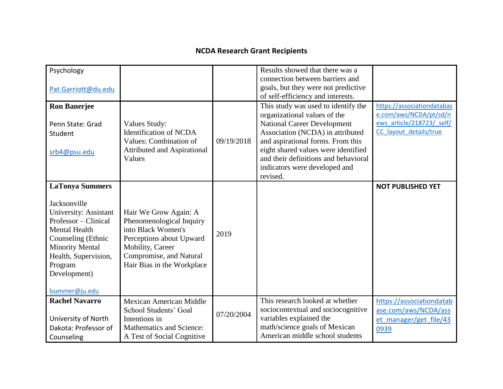| Psychology<br>Pat.Garriott@du.edu                                                                                                                                                                                                    |                                                                                                                                                                                  |            | Results showed that there was a<br>connection between barriers and<br>goals, but they were not predictive<br>of self-efficiency and interests.                                                                                                                                                                 |                                                                                                             |
|--------------------------------------------------------------------------------------------------------------------------------------------------------------------------------------------------------------------------------------|----------------------------------------------------------------------------------------------------------------------------------------------------------------------------------|------------|----------------------------------------------------------------------------------------------------------------------------------------------------------------------------------------------------------------------------------------------------------------------------------------------------------------|-------------------------------------------------------------------------------------------------------------|
| <b>Ron Banerjee</b><br>Penn State: Grad<br>Student<br>srb4@psu.edu                                                                                                                                                                   | Values Study:<br><b>Identification of NCDA</b><br>Values: Combination of<br><b>Attributed and Aspirational</b><br>Values                                                         | 09/19/2018 | This study was used to identify the<br>organizational values of the<br><b>National Career Development</b><br>Association (NCDA) in attributed<br>and aspirational forms. From this<br>eight shared values were identified<br>and their definitions and behavioral<br>indicators were developed and<br>revised. | https://associationdatabas<br>e.com/aws/NCDA/pt/sd/n<br>ews article/218723/ self/<br>CC_layout_details/true |
| <b>LaTonya Summers</b><br>Jacksonville<br>University: Assistant<br>Professor - Clinical<br><b>Mental Health</b><br>Counseling (Ethnic<br><b>Minority Mental</b><br>Health, Supervision,<br>Program<br>Development)<br>Isummer@ju.edu | Hair We Grow Again: A<br>Phenomenological Inquiry<br>into Black Women's<br>Perceptions about Upward<br>Mobility, Career<br>Compromise, and Natural<br>Hair Bias in the Workplace | 2019       |                                                                                                                                                                                                                                                                                                                | <b>NOT PUBLISHED YET</b>                                                                                    |
| <b>Rachel Navarro</b><br>University of North<br>Dakota: Professor of<br>Counseling                                                                                                                                                   | <b>Mexican American Middle</b><br>School Students' Goal<br>Intentions in<br>Mathematics and Science:<br>A Test of Social Cognitive                                               | 07/20/2004 | This research looked at whether<br>sociocontextual and sociocognitive<br>variables explained the<br>math/science goals of Mexican<br>American middle school students                                                                                                                                           | https://associationdatab<br>ase.com/aws/NCDA/ass<br>et manager/get file/43<br>0939                          |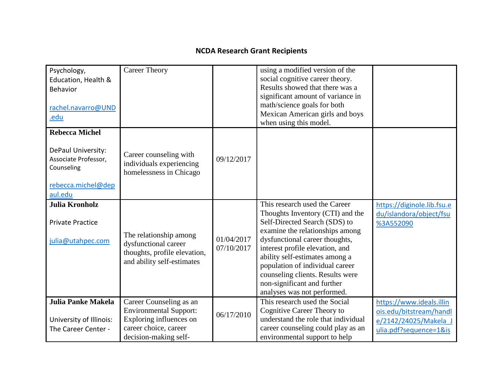| Psychology,<br>Education, Health &<br>Behavior<br>rachel.navarro@UND<br>.edu                                       | <b>Career Theory</b>                                                                                                                  |                          | using a modified version of the<br>social cognitive career theory.<br>Results showed that there was a<br>significant amount of variance in<br>math/science goals for both<br>Mexican American girls and boys<br>when using this model.                                                                                                                                            |                                                                                                        |
|--------------------------------------------------------------------------------------------------------------------|---------------------------------------------------------------------------------------------------------------------------------------|--------------------------|-----------------------------------------------------------------------------------------------------------------------------------------------------------------------------------------------------------------------------------------------------------------------------------------------------------------------------------------------------------------------------------|--------------------------------------------------------------------------------------------------------|
| <b>Rebecca Michel</b><br>DePaul University:<br>Associate Professor,<br>Counseling<br>rebecca.michel@dep<br>aul.edu | Career counseling with<br>individuals experiencing<br>homelessness in Chicago                                                         | 09/12/2017               |                                                                                                                                                                                                                                                                                                                                                                                   |                                                                                                        |
| Julia Kronholz<br><b>Private Practice</b><br>julia@utahpec.com                                                     | The relationship among<br>dysfunctional career<br>thoughts, profile elevation,<br>and ability self-estimates                          | 01/04/2017<br>07/10/2017 | This research used the Career<br>Thoughts Inventory (CTI) and the<br>Self-Directed Search (SDS) to<br>examine the relationships among<br>dysfunctional career thoughts,<br>interest profile elevation, and<br>ability self-estimates among a<br>population of individual career<br>counseling clients. Results were<br>non-significant and further<br>analyses was not performed. | https://diginole.lib.fsu.e<br>du/islandora/object/fsu<br>%3A552090                                     |
| <b>Julia Panke Makela</b><br>University of Illinois:<br>The Career Center -                                        | Career Counseling as an<br><b>Environmental Support:</b><br>Exploring influences on<br>career choice, career<br>decision-making self- | 06/17/2010               | This research used the Social<br>Cognitive Career Theory to<br>understand the role that individual<br>career counseling could play as an<br>environmental support to help                                                                                                                                                                                                         | https://www.ideals.illin<br>ois.edu/bitstream/handl<br>e/2142/24025/Makela J<br>ulia.pdf?sequence=1&is |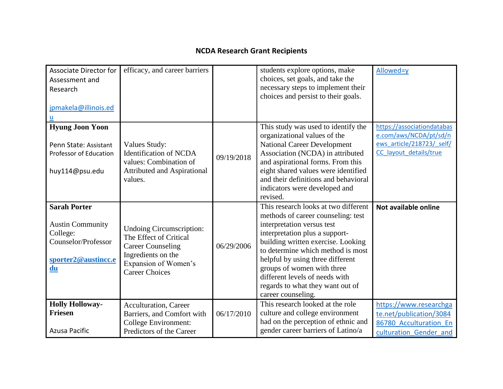| <b>Associate Director for</b><br>Assessment and<br>Research<br>jpmakela@illinois.ed<br>u                       | efficacy, and career barriers                                                                                                                                |            | students explore options, make<br>choices, set goals, and take the<br>necessary steps to implement their<br>choices and persist to their goals.                                                                                                                                                                                                                                     | Allowed=y                                                                                                   |
|----------------------------------------------------------------------------------------------------------------|--------------------------------------------------------------------------------------------------------------------------------------------------------------|------------|-------------------------------------------------------------------------------------------------------------------------------------------------------------------------------------------------------------------------------------------------------------------------------------------------------------------------------------------------------------------------------------|-------------------------------------------------------------------------------------------------------------|
| <b>Hyung Joon Yoon</b><br>Penn State: Assistant<br>Professor of Education<br>huy114@psu.edu                    | Values Study:<br><b>Identification of NCDA</b><br>values: Combination of<br><b>Attributed and Aspirational</b><br>values.                                    | 09/19/2018 | This study was used to identify the<br>organizational values of the<br><b>National Career Development</b><br>Association (NCDA) in attributed<br>and aspirational forms. From this<br>eight shared values were identified<br>and their definitions and behavioral<br>indicators were developed and<br>revised.                                                                      | https://associationdatabas<br>e.com/aws/NCDA/pt/sd/n<br>ews article/218723/ self/<br>CC_layout_details/true |
| <b>Sarah Porter</b><br><b>Austin Community</b><br>College:<br>Counselor/Professor<br>sporter2@austincc.e<br>du | <b>Undoing Circumscription:</b><br>The Effect of Critical<br><b>Career Counseling</b><br>Ingredients on the<br>Expansion of Women's<br><b>Career Choices</b> | 06/29/2006 | This research looks at two different<br>methods of career counseling: test<br>interpretation versus test<br>interpretation plus a support-<br>building written exercise. Looking<br>to determine which method is most<br>helpful by using three different<br>groups of women with three<br>different levels of needs with<br>regards to what they want out of<br>career counseling. | Not available online                                                                                        |
| <b>Holly Holloway-</b><br><b>Friesen</b><br><b>Azusa Pacific</b>                                               | <b>Acculturation</b> , Career<br>Barriers, and Comfort with<br><b>College Environment:</b><br>Predictors of the Career                                       | 06/17/2010 | This research looked at the role<br>culture and college environment<br>had on the perception of ethnic and<br>gender career barriers of Latino/a                                                                                                                                                                                                                                    | https://www.researchga<br>te.net/publication/3084<br>86780 Acculturation En<br>culturation Gender and       |